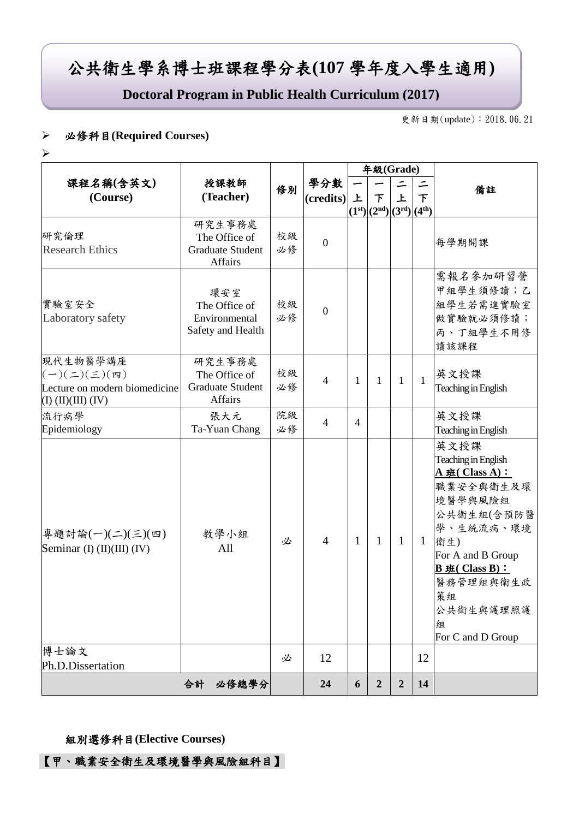# 公共衛生學系博士班課程學分表**(107** 學年度入學生適用**)**

**Doctoral Program in Public Health Curriculum (2017)**

更新日期(update):2018.06.21

#### 必修科目**(Required Courses)**

 $\blacktriangleright$ 

|                                                                                                          |                                                                      |          |                  |                | 年級(Grade)                   |                  |              |                                                                                                                                                                                                              |
|----------------------------------------------------------------------------------------------------------|----------------------------------------------------------------------|----------|------------------|----------------|-----------------------------|------------------|--------------|--------------------------------------------------------------------------------------------------------------------------------------------------------------------------------------------------------------|
| 課程名稱(含英文)<br>(Course)                                                                                    | 授課教師<br>(Teacher)                                                    | 修別       | 學分數<br>(credits) | 上              | 下<br>$(1st)(2nd)(3rd)(4th)$ | $\equiv$<br>上    | 下            | 備註                                                                                                                                                                                                           |
| 研究倫理<br><b>Research Ethics</b>                                                                           | 研究生事務處<br>The Office of<br><b>Graduate Student</b><br><b>Affairs</b> | 校級<br>必修 | $\boldsymbol{0}$ |                |                             |                  |              | 每學期開課                                                                                                                                                                                                        |
| 實驗室安全<br>Laboratory safety                                                                               | 環安室<br>The Office of<br>Environmental<br>Safety and Health           | 校級<br>必修 | $\boldsymbol{0}$ |                |                             |                  |              | 需報名參加研習營<br>甲組學生須修讀;乙<br>組學生若需進實驗室<br>做實驗就必須修讀;<br>丙、丁組學生不用修<br>讀該課程                                                                                                                                         |
| 現代生物醫學講座<br>$(-)(\leq)(\leq)(\mathfrak{m})$<br>Lecture on modern biomedicine<br>$(I)$ $(II)(III)$ $(IV)$ | 研究生事務處<br>The Office of<br><b>Graduate Student</b><br>Affairs        | 校級<br>必修 | $\overline{4}$   | $\mathbf{1}$   | 1                           | $\mathbf{1}$     | $\mathbf{1}$ | 英文授課<br>Teaching in English                                                                                                                                                                                  |
| 流行病學<br>Epidemiology                                                                                     | 張大元<br>Ta-Yuan Chang                                                 | 院級<br>必修 | $\overline{4}$   | $\overline{4}$ |                             |                  |              | 英文授課<br>Teaching in English                                                                                                                                                                                  |
| 專題討論(一)(二)(三)(四)<br>Seminar (I) $(II)(III)(IV)$                                                          | 教學小組<br>All                                                          | 必        | $\overline{4}$   | $\mathbf{1}$   | $\mathbf{1}$                | $\mathbf{1}$     | 1            | 英文授課<br>Teaching in English<br>A 班(Class A):<br>職業安全與衛生及環<br>境醫學與風險組<br>公共衛生組(含預防醫<br>學、生統流病、環境<br>衛生)<br>For A and B Group<br>$B \# ( Class B) :$<br>醫務管理組與衛生政<br>策組<br>公共衛生與護理照護<br>組<br>For C and D Group |
| 博士論文<br>Ph.D.Dissertation                                                                                |                                                                      | 必        | 12               |                |                             |                  | 12           |                                                                                                                                                                                                              |
|                                                                                                          | 合計<br>必修總學分                                                          |          | 24               | 6              | $\overline{2}$              | $\boldsymbol{2}$ | 14           |                                                                                                                                                                                                              |

#### 組別選修科目**(Elective Courses)**

【甲、職業安全衛生及環境醫學與風險組科目】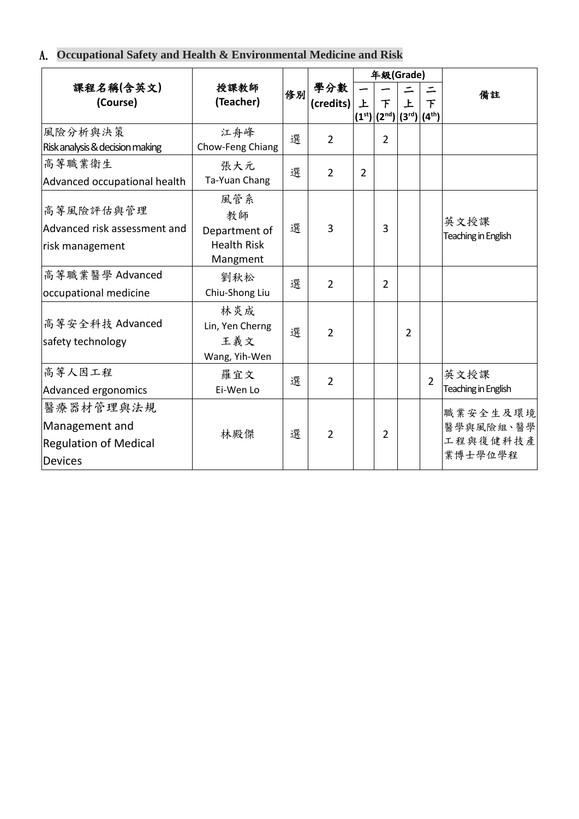### A. **Occupational Safety and Health & Environmental Medicine and Risk**

|                                                                        |                                                              |   |                         |                | 年級(Grade)                                |                |                              |                                              |
|------------------------------------------------------------------------|--------------------------------------------------------------|---|-------------------------|----------------|------------------------------------------|----------------|------------------------------|----------------------------------------------|
| 課程名稱(含英文)<br>(Course)                                                  | 授課教師<br>修別<br>(Teacher)                                      |   | 學分數<br>$(c$ redits $) $ | 上              | $\tau$<br>$ (1^{st}) (2^{nd}) (3^{rd}) $ | 上              | $\tau$<br>(4 <sup>th</sup> ) | 備註                                           |
| 風險分析與決策<br>Risk analysis & decision making                             | 江舟峰<br>Chow-Feng Chiang                                      | 選 | $\overline{2}$          |                | 2                                        |                |                              |                                              |
| 高等職業衛生<br>Advanced occupational health                                 | 張大元<br>Ta-Yuan Chang                                         | 選 | $\overline{2}$          | $\overline{2}$ |                                          |                |                              |                                              |
| 高等風險評估與管理<br>Advanced risk assessment and<br>risk management           | 風管系<br>教師<br>Department of<br><b>Health Risk</b><br>Mangment | 選 | 3                       |                | 3                                        |                |                              | 英文授課<br>Teaching in English                  |
| 高等職業醫學 Advanced<br>occupational medicine                               | 劉秋松<br>Chiu-Shong Liu                                        | 選 | $\overline{2}$          |                | 2                                        |                |                              |                                              |
| 高等安全科技 Advanced<br>safety technology                                   | 林炎成<br>Lin, Yen Cherng<br>王義文<br>Wang, Yih-Wen               | 選 | $\overline{2}$          |                |                                          | $\overline{2}$ |                              |                                              |
| 高等人因工程<br>Advanced ergonomics                                          | 羅宜文<br>Ei-Wen Lo                                             | 選 | $\overline{2}$          |                |                                          |                | $\overline{2}$               | 英文授課<br>Teaching in English                  |
| 醫療器材管理與法規<br>Management and<br><b>Regulation of Medical</b><br>Devices | 林殿傑                                                          | 選 | $\overline{2}$          |                | 2                                        |                |                              | 職業安全生及環境<br>醫學與風險組、醫學<br>工程與復健科技產<br>業博士學位學程 |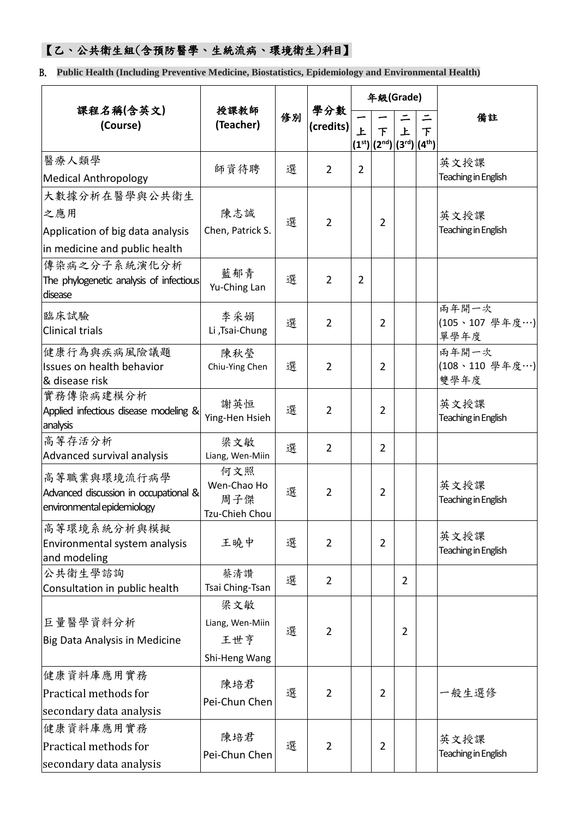### 【乙、公共衛生組(含預防醫學、生統流病、環境衛生)科目】

B. **Public Health (Including Preventive Medicine, Biostatistics, Epidemiology and Environmental Health)**

|                                             |                    |    |                  |                | 年級(Grade)                   |                |                    |                        |
|---------------------------------------------|--------------------|----|------------------|----------------|-----------------------------|----------------|--------------------|------------------------|
| 課程名稱(含英文)<br>(Course)                       | 授課教師<br>(Teacher)  | 修別 | 學分數<br>(credits) | $\overline{E}$ |                             | 上              | $\equiv$<br>$\top$ | 備註                     |
|                                             |                    |    |                  |                | 下<br>$(1st)(2nd)(3rd)(4th)$ |                |                    |                        |
| 醫療人類學                                       | 師資待聘               | 選  | $\overline{2}$   | $\overline{2}$ |                             |                |                    | 英文授課                   |
| <b>Medical Anthropology</b>                 |                    |    |                  |                |                             |                |                    | Teaching in English    |
| 大數據分析在醫學與公共衛生                               |                    |    |                  |                |                             |                |                    |                        |
| 之應用                                         | 陳志誠                | 選  | $\overline{2}$   |                | $\overline{2}$              |                |                    | 英文授課                   |
| Application of big data analysis            | Chen, Patrick S.   |    |                  |                |                             |                |                    | Teaching in English    |
| in medicine and public health               |                    |    |                  |                |                             |                |                    |                        |
| 傳染病之分子系統演化分析                                | 藍郁青                |    |                  |                |                             |                |                    |                        |
| The phylogenetic analysis of infectious     | Yu-Ching Lan       | 選  | $\overline{2}$   | $\overline{2}$ |                             |                |                    |                        |
| disease                                     |                    |    |                  |                |                             |                |                    | 兩年開一次                  |
| 臨床試驗                                        | 李采娟                | 選  | $\overline{2}$   |                | 2                           |                |                    | (105、107 學年度…)         |
| <b>Clinical trials</b>                      | Li ,Tsai-Chung     |    |                  |                |                             |                |                    | 單學年度                   |
| 健康行為與疾病風險議題                                 | 陳秋瑩                |    |                  |                |                             |                |                    | 兩年開一次                  |
| Issues on health behavior<br>& disease risk | Chiu-Ying Chen     | 選  | $\overline{2}$   |                | $\overline{2}$              |                |                    | (108、110 學年度…)<br>雙學年度 |
| 實務傳染病建模分析                                   |                    |    |                  |                |                             |                |                    |                        |
| Applied infectious disease modeling &       | 謝英恒                | 選  | $\overline{2}$   |                | 2                           |                |                    | 英文授課                   |
| analysis                                    | Ying-Hen Hsieh     |    |                  |                |                             |                |                    | Teaching in English    |
| 高等存活分析                                      | 梁文敏                | 選  | $\overline{2}$   |                | 2                           |                |                    |                        |
| Advanced survival analysis                  | Liang, Wen-Miin    |    |                  |                |                             |                |                    |                        |
| 高等職業與環境流行病學                                 | 何文照<br>Wen-Chao Ho |    |                  |                |                             |                |                    | 英文授課                   |
| Advanced discussion in occupational &       | 周子傑                | 選  | 2                |                | 2                           |                |                    | Teaching in English    |
| environmental epidemiology                  | Tzu-Chieh Chou     |    |                  |                |                             |                |                    |                        |
| 高等環境系統分析與模擬                                 |                    |    |                  |                |                             |                |                    | 英文授課                   |
| Environmental system analysis               | 王曉中                | 選  | $\overline{2}$   |                | $\overline{2}$              |                |                    | Teaching in English    |
| and modeling<br>公共衛生學諮詢                     | 蔡清讚                |    |                  |                |                             |                |                    |                        |
| Consultation in public health               | Tsai Ching-Tsan    | 選  | $\overline{2}$   |                |                             | $\overline{2}$ |                    |                        |
|                                             | 梁文敏                |    |                  |                |                             |                |                    |                        |
| 巨量醫學資料分析                                    | Liang, Wen-Miin    |    |                  |                |                             |                |                    |                        |
| Big Data Analysis in Medicine               | 王世亨                | 選  | 2                |                |                             | $\overline{2}$ |                    |                        |
|                                             | Shi-Heng Wang      |    |                  |                |                             |                |                    |                        |
| 健康資料庫應用實務                                   |                    |    |                  |                |                             |                |                    |                        |
| Practical methods for                       | 陳培君<br>選           |    | $\overline{2}$   |                | 2                           |                |                    | 一般生選修                  |
| secondary data analysis                     | Pei-Chun Chen      |    |                  |                |                             |                |                    |                        |
| 健康資料庫應用實務                                   |                    |    |                  |                |                             |                |                    |                        |
| Practical methods for                       | 陳培君                | 選  | $\overline{2}$   |                | 2                           |                |                    | 英文授課                   |
| secondary data analysis                     | Pei-Chun Chen      |    |                  |                |                             |                |                    | Teaching in English    |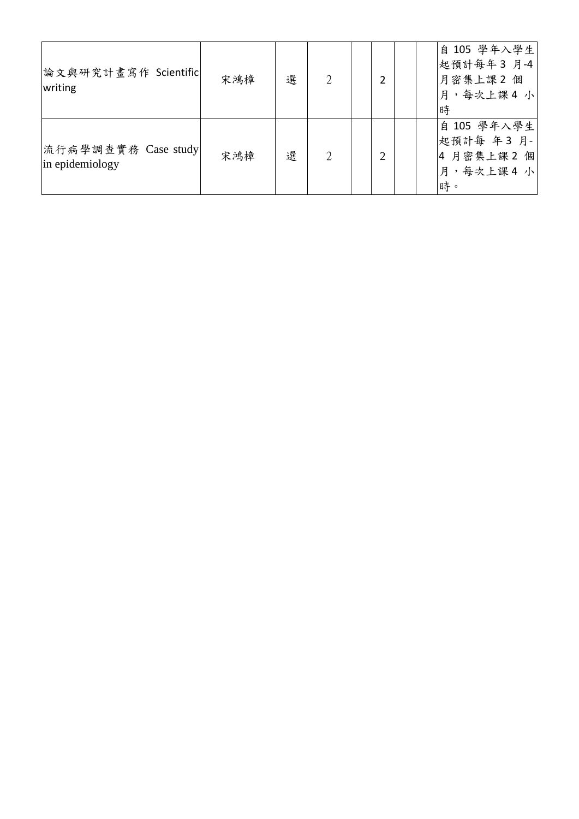| 論文與研究計畫寫作 Scientific<br>writing        | 宋鴻樟 | 選 |  |                             |  | 自 105 學年入學生<br>起預計每年3月-4<br>月密集上課2個<br>月,每次上課4小<br>時     |
|----------------------------------------|-----|---|--|-----------------------------|--|----------------------------------------------------------|
| 流行病學調查實務 Case study<br>in epidemiology | 宋鴻樟 | 選 |  | $\mathcal{D}_{\mathcal{L}}$ |  | 自 105 學年入學生<br>起預計每 年3月-<br>4 月密集上課2 個<br>月,每次上課4小<br>時。 |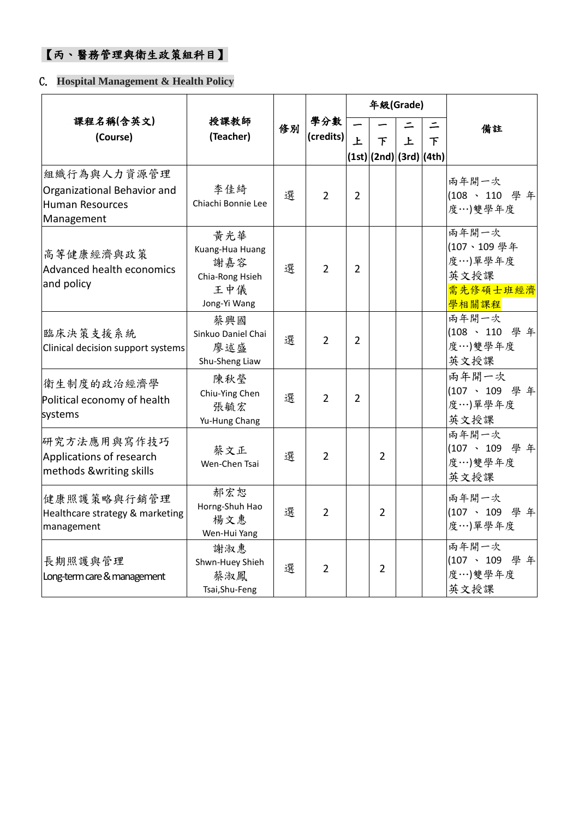## 【丙、醫務管理與衛生政策組科目】

#### C. **Hospital Management & Health Policy**

|                                                                             |                                                                           |                     |                  |                | 年級(Grade)               |   |                    |                                                             |
|-----------------------------------------------------------------------------|---------------------------------------------------------------------------|---------------------|------------------|----------------|-------------------------|---|--------------------|-------------------------------------------------------------|
| 課程名稱(含英文)<br>(Course)                                                       | 授課教師<br>(Teacher)                                                         | 修別                  | 學分數<br>(credits) | 上              | $\top$                  | 上 | ⋍<br>$\mathcal{T}$ | 備註                                                          |
|                                                                             |                                                                           |                     |                  |                | (1st) (2nd) (3rd) (4th) |   |                    |                                                             |
| 組織行為與人力資源管理<br>Organizational Behavior and<br>Human Resources<br>Management | 李佳綺<br>Chiachi Bonnie Lee                                                 | 選                   | $\overline{2}$   | $\overline{2}$ |                         |   |                    | 兩年開一次<br>(108、110 學年<br>度…)雙學年度                             |
| 高等健康經濟與政策<br>Advanced health economics<br>and policy                        | 黄光華<br>Kuang-Hua Huang<br>謝嘉容<br>Chia-Rong Hsieh<br>王中儀<br>Jong-Yi Wang   | 選                   | $\overline{2}$   | $\overline{2}$ |                         |   |                    | 兩年開一次<br>(107、109學年<br>度…)單學年度<br>英文授課<br>需先修碩士班經濟<br>學相關課程 |
| 臨床決策支援系統<br>Clinical decision support systems                               | 蔡興國<br>Sinkuo Daniel Chai<br>選<br>$\overline{2}$<br>廖述盛<br>Shu-Sheng Liaw |                     |                  | $\overline{2}$ |                         |   |                    | 兩年開一次<br>(108、110 學年<br>度…)雙學年度<br>英文授課                     |
| 衛生制度的政治經濟學<br>Political economy of health<br>systems                        | 陳秋瑩<br>Chiu-Ying Chen<br>張毓宏<br>Yu-Hung Chang                             | 選                   | $\overline{2}$   | $\overline{2}$ |                         |   |                    | 兩年開一次<br>(107、109 學年<br>度…)單學年度<br>英文授課                     |
| 研究方法應用與寫作技巧<br>Applications of research<br>methods &writing skills          | 蔡文正<br>Wen-Chen Tsai                                                      | 選<br>$\overline{2}$ |                  |                | $\overline{2}$          |   |                    | 雨年開一次<br>(107、109 學年<br>度…)雙學年度<br>英文授課                     |
| 健康照護策略與行銷管理<br>Healthcare strategy & marketing<br>management                | 郝宏恕<br>Horng-Shuh Hao<br>楊文惠<br>Wen-Hui Yang                              | 選                   | $\overline{2}$   |                | $\overline{2}$          |   |                    | 兩年開一次<br>(107、109 學年<br>度…)單學年度                             |
| 長期照護與管理<br>Long-term care & management                                      | 謝淑惠<br>Shwn-Huey Shieh<br>蔡淑鳳<br>Tsai, Shu-Feng                           | 選                   | $\overline{2}$   |                | $\overline{2}$          |   |                    | 兩年開一次<br>(107、109 學年<br>度…)雙學年度<br>英文授課                     |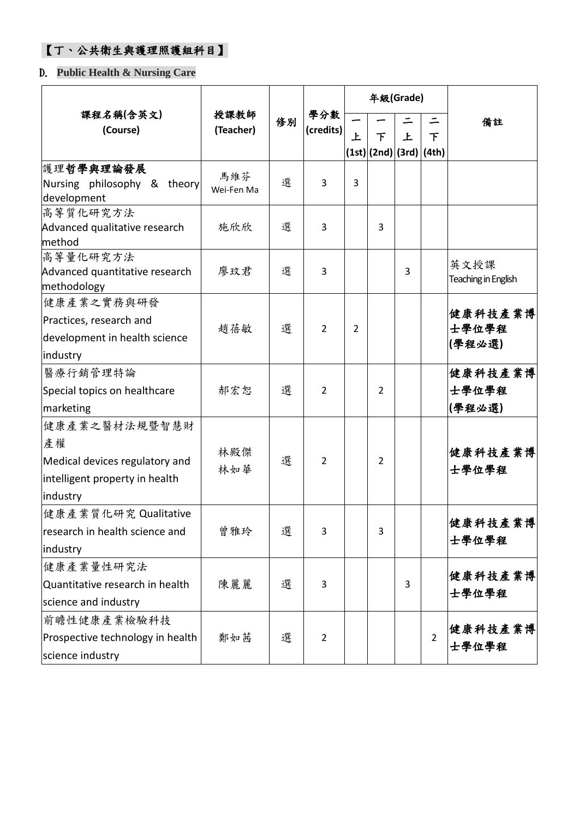### 【丁、公共衛生與護理照護組科目】

### D. **Public Health & Nursing Care**

|                                                                                                     |                   |    |                  |                |                         | 年級(Grade) |                |                             |
|-----------------------------------------------------------------------------------------------------|-------------------|----|------------------|----------------|-------------------------|-----------|----------------|-----------------------------|
| 課程名稱(含英文)<br>(Course)                                                                               | 授課教師<br>(Teacher) | 修別 | 學分數<br>(credits) | 上              | 下                       | 上         | 下              | 備註                          |
| 護理哲學與理論發展<br>Nursing philosophy & theory<br>development                                             | 馬維芬<br>Wei-Fen Ma | 選  | 3                | 3              | (1st) (2nd) (3rd) (4th) |           |                |                             |
| 高等質化研究方法<br>Advanced qualitative research<br>method                                                 | 施欣欣               | 選  | 3                |                | 3                       |           |                |                             |
| 高等量化研究方法<br>Advanced quantitative research<br>methodology                                           | 廖玟君               | 選  | 3                |                |                         | 3         |                | 英文授課<br>Teaching in English |
| 健康產業之實務與研發<br>Practices, research and<br>development in health science<br>industry                  | 趙蓓敏               | 選  | 2                | $\overline{2}$ |                         |           |                | 健康科技產業博<br>士學位學程<br>(學程必選)  |
| 醫療行銷管理特論<br>Special topics on healthcare<br>marketing                                               | 郝宏恕               | 選  | 2                |                | $\overline{2}$          |           |                | 健康科技產業博<br>士學位學程<br>(學程必選)  |
| 健康產業之醫材法規暨智慧財<br>產權<br>Medical devices regulatory and<br>intelligent property in health<br>industry | 林殿傑<br>林如華        | 選  | 2                |                | $\overline{2}$          |           |                | 健康科技產業博<br>士學位學程            |
| 健康產業質化研究 Qualitative<br>research in health science and<br>industry                                  | 曾雅玲               | 選  | 3                |                | 3                       |           |                | 健康科技產業博<br>士學位學程            |
| 健康產業量性研究法<br>Quantitative research in health<br>science and industry                                | 陳麗麗               | 選  | 3                |                |                         | 3         |                | 健康科技產業博<br>士學位學程            |
| 前瞻性健康產業檢驗科技<br>Prospective technology in health<br>science industry                                 | 鄭如茜               | 選  | $\overline{2}$   |                |                         |           | $\overline{2}$ | 健康科技產業博<br>士學位學程            |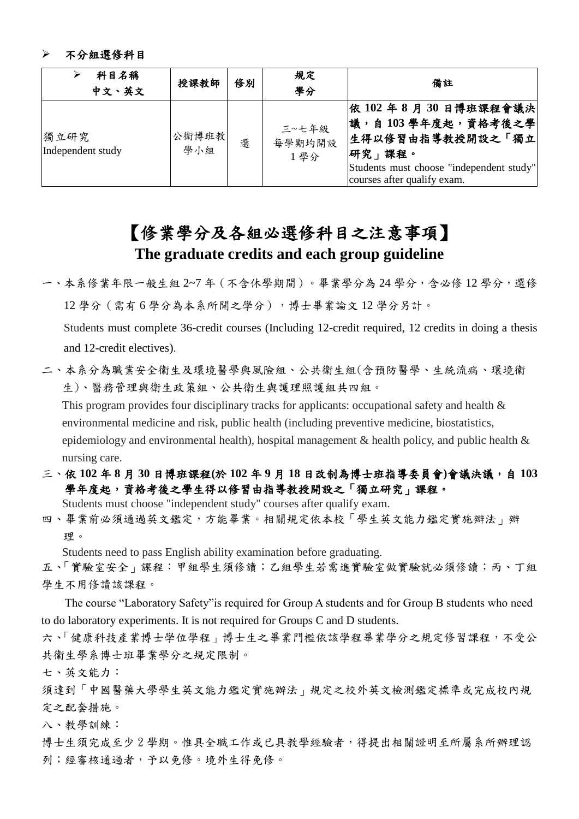#### 不分組選修科目

| 科目名稱<br>中文、英文             | 授課教師          | 修別 | 規定<br>學分               | 備註                                                                                                                                                        |
|---------------------------|---------------|----|------------------------|-----------------------------------------------------------------------------------------------------------------------------------------------------------|
| 獨立研究<br>Independent study | 公衛博班教 <br>學小組 | 選  | 三~七年級<br>每學期均開設<br>1學分 | 依 102 年 8 月 30 日博班課程會議決 <br> 議,自103學年度起,資格考後之學 <br>生得以修習由指導教授開設之「獨立<br> 研究」課程。<br>Students must choose "independent study"<br>courses after qualify exam. |

### 【修業學分及各組必選修科目之注意事項】 **The graduate credits and each group guideline**

一、本系修業年限一般生組 2~7 年(不含休學期間)。畢業學分為 24 學分,含必修 12 學分,選修 12 學分(需有 6 學分為本系所開之學分),博士畢業論文 12 學分另計。

Students must complete 36-credit courses (Including 12-credit required, 12 credits in doing a thesis and 12-credit electives).

二、本系分為職業安全衛生及環境醫學與風險組、公共衛生組(含預防醫學、生統流病、環境衛 生)、醫務管理與衛生政策組、公共衛生與護理照護組共四組。

This program provides four disciplinary tracks for applicants: occupational safety and health & environmental medicine and risk, public health (including preventive medicine, biostatistics, epidemiology and environmental health), hospital management & health policy, and public health & nursing care.

三、依 **102** 年 **8** 月 **30** 日博班課程**(**於 **102** 年 **9** 月 **18** 日改制為博士班指導委員會**)**會議決議,自 **103** 學年度起,資格考後之學生得以修習由指導教授開設之「獨立研究」課程。

Students must choose "independent study" courses after qualify exam.

四、畢業前必須通過英文鑑定,方能畢業。相關規定依本校「學生英文能力鑑定實施辦法」辦 理。

Students need to pass English ability examination before graduating.

五、「實驗室安全」課程:甲組學生須修讀;乙組學生若需進實驗室做實驗就必須修讀;丙、丁組 學生不用修讀該課程。

The course "Laboratory Safety"is required for Group A students and for Group B students who need to do laboratory experiments. It is not required for Groups C and D students.

六、「健康科技產業博士學位學程」博士生之畢業門檻依該學程畢業學分之規定修習課程,不受公 共衛生學系博士班畢業學分之規定限制。

七、英文能力:

須達到「中國醫藥大學學生英文能力鑑定實施辦法」規定之校外英文檢測鑑定標準或完成校內規 定之配套措施。

八、教學訓練:

博士生須完成至少2學期。惟具全職工作或已具教學經驗者,得提出相關證明至所屬系所辦理認 列;經審核通過者,予以免修。境外生得免修。